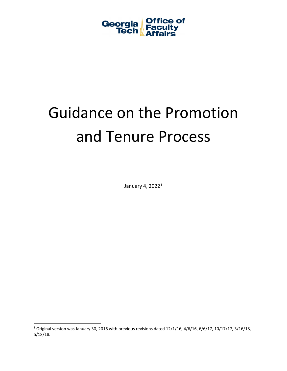

# Guidance on the Promotion and Tenure Process

January 4, 2022[1](#page-0-0)

<span id="page-0-0"></span> $1$  Original version was January 30, 2016 with previous revisions dated 12/1/16, 4/6/16, 6/6/17, 10/17/17, 3/16/18, 5/18/18.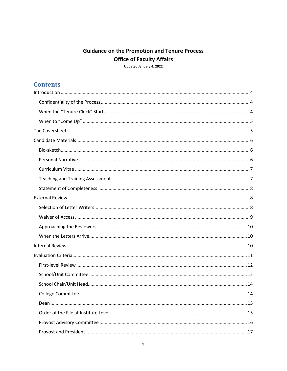# **Guidance on the Promotion and Tenure Process Office of Faculty Affairs**

Updated January 4, 2022

# **Contents**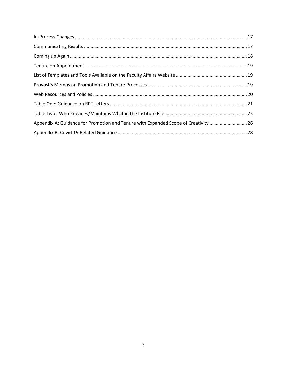| Appendix A: Guidance for Promotion and Tenure with Expanded Scope of Creativity 26 |  |
|------------------------------------------------------------------------------------|--|
|                                                                                    |  |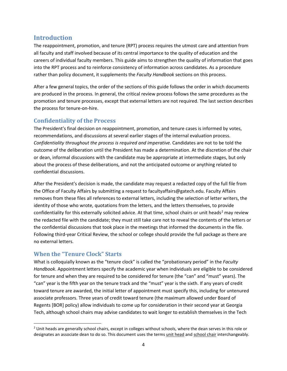# <span id="page-3-0"></span>**Introduction**

The reappointment, promotion, and tenure (RPT) process requires the utmost care and attention from all faculty and staff involved because of its central importance to the quality of education and the careers of individual faculty members. This guide aims to strengthen the quality of information that goes into the RPT process and to reinforce consistency of information across candidates. As a procedure rather than policy document, it supplements the *Faculty Handbook* sections on this process.

After a few general topics, the order of the sections of this guide follows the order in which documents are produced in the process. In general, the critical review process follows the same procedures as the promotion and tenure processes, except that external letters are not required. The last section describes the process for tenure-on-hire.

# <span id="page-3-1"></span>**Confidentiality of the Process**

The President's final decision on reappointment, promotion, and tenure cases is informed by votes, recommendations, and discussions at several earlier stages of the internal evaluation process. *Confidentiality throughout the process is required and imperative.* Candidates are not to be told the outcome of the deliberation until the President has made a determination. At the discretion of the chair or dean, informal discussions with the candidate may be appropriate at intermediate stages, but only about the process of these deliberations, and not the anticipated outcome or anything related to confidential discussions.

After the President's decision is made, the candidate may request a redacted copy of the full file from the Office of Faculty Affairs by submitting a request to facultyaffairs@gatech.edu. Faculty Affairs removes from these files all references to external letters, including the selection of letter writers, the identity of those who wrote, quotations from the letters, and the letters themselves, to provide confidentiality for this externally solicited advice. At that time, school chairs or unit heads<sup>[2](#page-3-3)</sup> may review the redacted file with the candidate; they must still take care not to reveal the contents of the letters or the confidential discussions that took place in the meetings that informed the documents in the file. Following third-year Critical Review, the school or college should provide the full package as there are no external letters.

# <span id="page-3-2"></span>**When the "Tenure Clock" Starts**

What is colloquially known as the "tenure clock" is called the "probationary period" in the *Faculty Handbook*. Appointment letters specify the academic year when individuals are eligible to be considered for tenure and when they are required to be considered for tenure (the "can" and "must" years). The "can" year is the fifth year on the tenure track and the "must" year is the sixth. If any years of credit toward tenure are awarded, the initial letter of appointment must specify this, including for untenured associate professors. Three years of credit toward tenure (the maximum allowed under Board of Regents [BOR] policy) allow individuals to come up for consideration in their second year at Georgia Tech, although school chairs may advise candidates to wait longer to establish themselves in the Tech

<span id="page-3-3"></span> $2$  Unit heads are generally school chairs, except in colleges without schools, where the dean serves in this role or designates an associate dean to do so. This document uses the terms unit head and school chair interchangeably.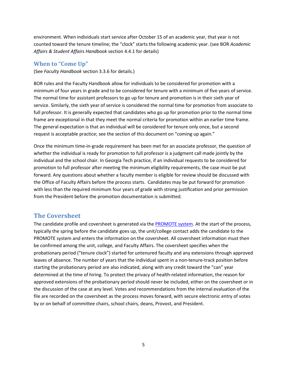environment. When individuals start service after October 15 of an academic year, that year is not counted toward the tenure timeline; the "clock" starts the following academic year. (see BOR *Academic Affairs & Student Affairs Handbook* section 4.4.1 for details)

#### <span id="page-4-0"></span>**When to "Come Up"**

(See *Faculty Handbook* section 3.3.6 for details.)

BOR rules and the Faculty Handbook allow for individuals to be considered for promotion with a minimum of four years in grade and to be considered for tenure with a minimum of five years of service. The normal time for assistant professors to go up for tenure and promotion is in their sixth year of service. Similarly, the sixth year of service is considered the normal time for promotion from associate to full professor. It is generally expected that candidates who go up for promotion prior to the normal time frame are exceptional in that they meet the normal criteria for promotion within an earlier time frame. The general expectation is that an individual will be considered for tenure only once, but a second request is acceptable practice; see the section of this document on "coming up again."

Once the minimum time-in-grade requirement has been met for an associate professor, the question of whether the individual is ready for promotion to full professor is a judgment call made jointly by the individual and the school chair. In Georgia Tech practice, if an individual requests to be considered for promotion to full professor after meeting the minimum eligibility requirements, the case must be put forward. Any questions about whether a faculty member is eligible for review should be discussed with the Office of Faculty Affairs before the process starts. Candidates may be put forward for promotion with less than the required minimum four years of grade with strong justification and prior permission from the President before the promotion documentation is submitted.

#### <span id="page-4-1"></span>**The Coversheet**

The candidate profile and coversheet is generated via the [PROMOTE system.](https://docs.tag.gatech.edu/pages/viewpage.action?pageId=21332328) At the start of the process, typically the spring before the candidate goes up, the unit/college contact adds the candidate to the PROMOTE system and enters the information on the coversheet. All coversheet information must then be confirmed among the unit, college, and Faculty Affairs. The coversheet specifies when the probationary period ("tenure clock") started for untenured faculty and any extensions through approved leaves of absence. The number of years that the individual spent in a non-tenure-track position before starting the probationary period are also indicated, along with any credit toward the "can" year determined at the time of hiring. To protect the privacy of health-related information, the reason for approved extensions of the probationary period should never be included, either on the coversheet or in the discussion of the case at any level. Votes and recommendations from the internal evaluation of the file are recorded on the coversheet as the process moves forward, with secure electronic entry of votes by or on behalf of committee chairs, school chairs, deans, Provost, and President.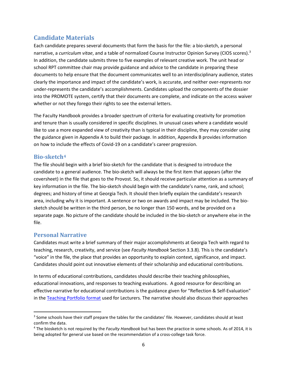# <span id="page-5-0"></span>**Candidate Materials**

Each candidate prepares several documents that form the basis for the file: a bio-sketch, a personal narrative, a *curriculum vitae*, and a table of normalized Course Instructor Opinion Survey (CIOS scores). [3](#page-5-3) In addition, the candidate submits three to five examples of relevant creative work. The unit head or school RPT committee chair may provide guidance and advice to the candidate in preparing these documents to help ensure that the document communicates well to an interdisciplinary audience, states clearly the importance and impact of the candidate's work, is accurate, and neither over-represents nor under-represents the candidate's accomplishments. Candidates upload the components of the dossier into the PROMOTE system, certify that their documents are complete, and indicate on the access waiver whether or not they forego their rights to see the external letters.

The Faculty Handbook provides a broader spectrum of criteria for evaluating creativity for promotion and tenure than is usually considered in specific disciplines. In unusual cases where a candidate would like to use a more expanded view of creativity than is typical in their discipline, they may consider using the guidance given in Appendix A to build their package. In addition, Appendix B provides information on how to include the effects of Covid-19 on a candidate's career progression.

#### <span id="page-5-1"></span>**Bio-sketch[4](#page-5-4)**

The file should begin with a brief bio-sketch for the candidate that is designed to introduce the candidate to a general audience. The bio-sketch will always be the first item that appears (after the coversheet) in the file that goes to the Provost. So, it should receive particular attention as a summary of key information in the file. The bio-sketch should begin with the candidate's name, rank, and school; degrees; and history of time at Georgia Tech. It should then briefly explain the candidate's research area, including why it is important. A sentence or two on awards and impact may be included. The biosketch should be written in the third person, be no longer than 150 words, and be provided on a separate page. No picture of the candidate should be included in the bio-sketch or anywhere else in the file.

# <span id="page-5-2"></span>**Personal Narrative**

Candidates must write a brief summary of their major accomplishments at Georgia Tech with regard to teaching, research, creativity, and service (see *Faculty Handbook* Section 3.3.8). This is the candidate's "voice" in the file, the place that provides an opportunity to explain context, significance, and impact. Candidates should point out innovative elements of their scholarship and educational contributions.

In terms of educational contributions, candidates should describe their teaching philosophies, educational innovations, and responses to teaching evaluations. A good resource for describing an effective narrative for educational contributions is the guidance given for "Reflection & Self-Evaluation" in the [Teaching Portfolio format](https://faculty.gatech.edu/sites/default/files/images/teaching_portfolio_promotion_guidelines_7-5-2018.pdf) used for Lecturers. The narrative should also discuss their approaches

<span id="page-5-3"></span><sup>&</sup>lt;sup>3</sup> Some schools have their staff prepare the tables for the candidates' file. However, candidates should at least confirm the data.

<span id="page-5-4"></span><sup>4</sup> The biosketch is not required by the *Faculty Handbook* but has been the practice in some schools. As of 2014, it is being adopted for general use based on the recommendation of a cross-college task force.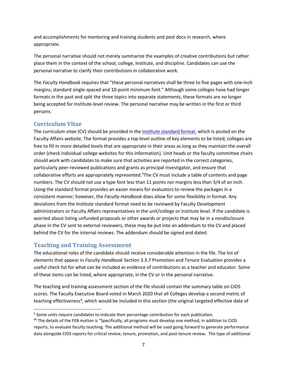and accomplishments for mentoring and training students and post docs in research, where appropriate.

The personal narrative should not merely summarize the examples of creative contributions but rather place them in the context of the school, college, Institute, and discipline. Candidates can use the personal narrative to clarify their contributions in collaborative work.

The *Faculty Handbook* requires that "these personal narratives shall be three to five pages with one-inch margins, standard single-spaced and 10-point minimum font." Although some colleges have had longer formats in the past and split the three topics into separate statements, these formats are no longer being accepted for Institute-level review. The personal narrative may be written in the first or third persons.

#### <span id="page-6-0"></span>**Curriculum Vitae**

The *curriculum vitae* (CV) should be provided in th[e Institute standard format,](http://faculty.gatech.edu/sites/default/files/documents/standard-cv-format-for-rpt-0215.docx) which is posted on the [Faculty Affairs website.](http://facultyaffairs.gatech.edu/current-faculty/promotion-tenure) The format provides a top-level outline of key elements to be listed; colleges are free to fill in more detailed levels that are appropriate in their areas as long as they maintain the overall order (check individual college websites for this information). Unit heads or the faculty committee chairs should work with candidates to make sure that activities are reported in the correct categories, particularly peer-reviewed publications and grants as principal investigator, and ensure that collaborative efforts are appropriately represented.<sup>[5](#page-6-2)</sup>The CV must include a table of contents and page numbers. The CV should not use a type font less than 11 points nor margins less than 3/4 of an inch. Using the standard format provides an easier means for evaluators to review the packages in a consistent manner; however, the *Faculty Handbook* does allow for some flexibility in format. Any deviations from the Institute standard format need to be reviewed by Faculty Development administrators or Faculty Affairs representatives in the unit/college or Institute level. If the candidate is worried about listing unfunded proposals or other awards or projects that may be in a nondisclosure phase in the CV sent to external reviewers, these may be put into an addendum to the CV and placed behind the CV for the internal reviews. The addendum should be signed and dated.

# <span id="page-6-1"></span>**Teaching and Training Assessment**

The educational roles of the candidate should receive considerable attention in the file. The list of elements that appear in *Faculty Handbook* Section 3.3.7 Promotion and Tenure Evaluation provides a useful check list for what can be included as evidence of contributions as a teacher and educator. Some of these items can be listed, where appropriate, in the CV or in the personal narrative.

The teaching and training assessment section of the file should contain the summary table on CIOS scores. The Faculty Executive Board voted in March 2020 that all Colleges develop a second metric of teaching effectiveness<sup>[6](#page-6-3)</sup>, which would be included in this section (the original targeted effective date of

<span id="page-6-2"></span> $5$  Some units require candidates to indicate their percentage contribution for each publication.

<span id="page-6-3"></span><sup>&</sup>lt;sup>66</sup> The details of the FEB motion is "Specifically, all programs must develop one method, in addition to CIOS reports, to evaluate faculty teaching. The additional method will be used going forward to generate performance data alongside CIOS reports for critical review, tenure, promotion, and post-tenure review. The type of additional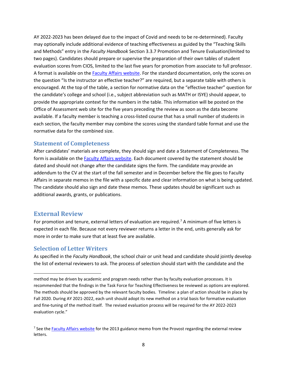AY 2022-2023 has been delayed due to the impact of Covid and needs to be re-determined). Faculty may optionally include additional evidence of teaching effectiveness as guided by the "Teaching Skills and Methods" entry in the *Faculty Handbook* Section 3.3.7 Promotion and Tenure Evaluation(limited to two pages). Candidates should prepare or supervise the preparation of their own tables of student evaluation scores from CIOS, limited to the last five years for promotion from associate to full professor. A format is available on the [Faculty Affairs website.](http://facultyaffairs.gatech.edu/current-faculty/promotion-tenure) For the standard documentation, only the scores on the question "Is the instructor an effective teacher?" are required, but a separate table with others is encouraged. At the top of the table, a section for normative data on the "effective teacher" question for the candidate's college and school (i.e., subject abbreviation such as MATH or ISYE) should appear, to provide the appropriate context for the numbers in the table. This information will be posted on the Office of Assessment web site for the five years preceding the review as soon as the data become available. If a faculty member is teaching a cross-listed course that has a small number of students in each section, the faculty member may combine the scores using the standard table format and use the normative data for the combined size.

#### <span id="page-7-0"></span>**Statement of Completeness**

After candidates' materials are complete, they should sign and date a Statement of Completeness. The form is available on the **Faculty Affairs website**. Each document covered by the statement should be dated and should not change after the candidate signs the form. The candidate may provide an addendum to the CV at the start of the fall semester and in December before the file goes to Faculty Affairs in separate memos in the file with a specific date and clear information on what is being updated. The candidate should also sign and date these memos. These updates should be significant such as additional awards, grants, or publications.

#### <span id="page-7-1"></span>**External Review**

l

For promotion and tenure, external letters of evaluation are required.<sup>[7](#page-7-3)</sup> A minimum of five letters is expected in each file. Because not every reviewer returns a letter in the end, units generally ask for more in order to make sure that at least five are available.

#### <span id="page-7-2"></span>**Selection of Letter Writers**

As specified in the *Faculty Handbook*, the school chair or unit head and candidate should jointly develop the list of external reviewers to ask. The process of selection should start with the candidate and the

method may be driven by academic and program needs rather than by faculty evaluation processes. It is recommended that the findings in the Task Force for Teaching Effectiveness be reviewed as options are explored. The methods should be approved by the relevant faculty bodies. Timeline: a plan of action should be in place by Fall 2020. During AY 2021-2022, each unit should adopt its new method on a trial basis for formative evaluation and fine-tuning of the method itself. The revised evaluation process will be required for the AY 2022-2023 evaluation cycle."

<span id="page-7-3"></span><sup>&</sup>lt;sup>7</sup> See the [Faculty Affairs website](http://facultyaffairs.gatech.edu/deans-chairs/promotion-tenure) for the 2013 guidance memo from the Provost regarding the external review letters.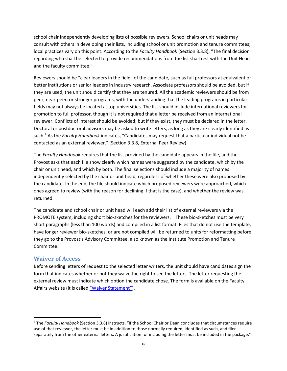school chair independently developing lists of possible reviewers. School chairs or unit heads may consult with others in developing their lists, including school or unit promotion and tenure committees; local practices vary on this point. According to the *Faculty Handbook* (Section 3.3.8), "The final decision regarding who shall be selected to provide recommendations from the list shall rest with the Unit Head and the faculty committee."

Reviewers should be "clear leaders in the field" of the candidate, such as full professors at equivalent or better institutions or senior leaders in industry research. Associate professors should be avoided, but if they are used, the unit should certify that they are tenured. All the academic reviewers should be from peer, near-peer, or stronger programs, with the understanding that the leading programs in particular fields may not always be located at top universities. The list should include international reviewers for promotion to full professor, though it is not required that a letter be received from an international reviewer. Conflicts of interest should be avoided; but if they exist, they must be declared in the letter. Doctoral or postdoctoral advisors may be asked to write letters, as long as they are clearly identified as such. [8](#page-8-1) As the *Faculty Handbook* indicates, "Candidates may request that a particular individual not be contacted as an external reviewer." (Section 3.3.8, External Peer Review)

The *Faculty Handbook* requires that the list provided by the candidate appears in the file, and the Provost asks that each file show clearly which names were suggested by the candidate, which by the chair or unit head, and which by both. The final selections should include a majority of names independently selected by the chair or unit head, regardless of whether these were also proposed by the candidate. In the end, the file should indicate which proposed reviewers were approached, which ones agreed to review (with the reason for declining if that is the case), and whether the review was returned.

The candidate and school chair or unit head will each add their list of external reviewers via the PROMOTE system, including short bio-sketches for the reviewers. These bio-sketches must be very short paragraphs (less than 100 words) and compiled in a list format. Files that do not use the template, have longer reviewer bio-sketches, or are not compiled will be returned to units for reformatting before they go to the Provost's Advisory Committee, also known as the Institute Promotion and Tenure Committee.

#### <span id="page-8-0"></span>**Waiver of Access**

Before sending letters of request to the selected letter writers, the unit should have candidates sign the form that indicates whether or not they waive the right to see the letters. The letter requesting the external review must indicate which option the candidate chose. The form is available on the Faculty Affairs website (it is called ["Waiver Statement"\)](http://facultyaffairs.gatech.edu/sites/default/files/documents/waiver_of_right_of_access.pdf).

<span id="page-8-1"></span> <sup>8</sup> The *Faculty Handbook* (Section 3.3.8) instructs, "If the School Chair or Dean concludes that circumstances require use of that reviewer, the letter must be in addition to those normally required, identified as such, and filed separately from the other external letters. A justification for including the letter must be included in the package."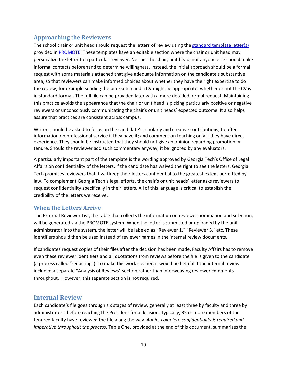# <span id="page-9-0"></span>**Approaching the Reviewers**

The school chair or unit head should request the letters of review using the [standard template](http://www.faculty.gatech.edu/deans-chairs/promotion-tenure) letter(s) provided in [PROMOTE.](https://docs.tag.gatech.edu/display/PKB/Overview%3A+How+to+Manage+External+Reviewers+and+Evaluators) These templates have an editable section where the chair or unit head may personalize the letter to a particular reviewer. Neither the chair, unit head, nor anyone else should make informal contacts beforehand to determine willingness. Instead, the initial approach should be a formal request with some materials attached that give adequate information on the candidate's substantive area, so that reviewers can make informed choices about whether they have the right expertise to do the review; for example sending the bio-sketch and a CV might be appropriate, whether or not the CV is in standard format. The full file can be provided later with a more detailed formal request. Maintaining this practice avoids the appearance that the chair or unit head is picking particularly positive or negative reviewers or unconsciously communicating the chair's or unit heads' expected outcome. It also helps assure that practices are consistent across campus.

Writers should be asked to focus on the candidate's scholarly and creative contributions; to offer information on professional service if they have it; and comment on teaching only if they have direct experience. They should be instructed that they should not give an opinion regarding promotion or tenure. Should the reviewer add such commentary anyway, it be ignored by any evaluators.

A particularly important part of the template is the wording approved by Georgia Tech's Office of Legal Affairs on confidentiality of the letters. If the candidate has waived the right to see the letters, Georgia Tech promises reviewers that it will keep their letters confidential to the greatest extent permitted by law. To complement Georgia Tech's legal efforts, the chair's or unit heads' letter asks reviewers to request confidentiality specifically in their letters. All of this language is critical to establish the credibility of the letters we receive.

#### <span id="page-9-1"></span>**When the Letters Arrive**

The External Reviewer List, the table that collects the information on reviewer nomination and selection, will be generated via the PROMOTE system. When the letter is submitted or uploaded by the unit administrator into the system, the letter will be labeled as "Reviewer 1," "Reviewer 3," etc. These identifiers should then be used instead of reviewer names in the internal review documents.

If candidates request copies of their files after the decision has been made, Faculty Affairs has to remove even these reviewer identifiers and all quotations from reviews before the file is given to the candidate (a process called "redacting"). To make this work cleaner, it would be helpful if the internal review included a separate "Analysis of Reviews" section rather than interweaving reviewer comments throughout. However, this separate section is not required.

#### <span id="page-9-2"></span>**Internal Review**

Each candidate's file goes through six stages of review, generally at least three by faculty and three by administrators, before reaching the President for a decision. Typically, 35 or more members of the tenured faculty have reviewed the file along the way. *Again, complete confidentiality is required and imperative throughout the process.* Table One, provided at the end of this document, summarizes the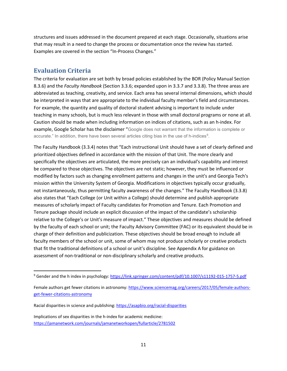structures and issues addressed in the document prepared at each stage. Occasionally, situations arise that may result in a need to change the process or documentation once the review has started. Examples are covered in the section "In-Process Changes."

### <span id="page-10-0"></span>**Evaluation Criteria**

The criteria for evaluation are set both by broad policies established by the BOR (Policy Manual Section 8.3.6) and the *Faculty Handbook* (Section 3.3.6; expanded upon in 3.3.7 and 3.3.8). The three areas are abbreviated as teaching, creativity, and service. Each area has several internal dimensions, which should be interpreted in ways that are appropriate to the individual faculty member's field and circumstances. For example, the quantity and quality of doctoral student advising is important to include under teaching in many schools, but is much less relevant in those with small doctoral programs or none at all. Caution should be made when including information on indices of citations, such as an h-index. For example, Google Scholar has the disclaimer "Google does not warrant that the information is complete or accurate." In addition, there have been several articles citing bias in the use of h-indices $^9$  $^9$ .

The Faculty Handbook (3.3.4) notes that "Each instructional Unit should have a set of clearly defined and prioritized objectives defined in accordance with the mission of that Unit. The more clearly and specifically the objectives are articulated, the more precisely can an individual's capability and interest be compared to those objectives. The objectives are not static; however, they must be influenced or modified by factors such as changing enrollment patterns and changes in the unit's and Georgia Tech's mission within the University System of Georgia. Modifications in objectives typically occur gradually, not instantaneously, thus permitting faculty awareness of the changes." The Faculty Handbook (3.3.8) also states that "Each College (or Unit within a College) should determine and publish appropriate measures of scholarly impact of Faculty candidates for Promotion and Tenure. Each Promotion and Tenure package should include an explicit discussion of the impact of the candidate's scholarship relative to the College's or Unit's measure of impact." These objectives and measures should be defined by the faculty of each school or unit; the Faculty Advisory Committee (FAC) or its equivalent should be in charge of their definition and publicization. These objectives should be broad enough to include all faculty members of the school or unit, some of whom may not produce scholarly or creative products that fit the traditional definitions of a school or unit's discipline. See Appendix A for guidance on assessment of non-traditional or non-disciplinary scholarly and creative products.

<span id="page-10-1"></span><sup>&</sup>lt;sup>9</sup> Gender and the h index in psychology[: https://link.springer.com/content/pdf/10.1007/s11192-015-1757-5.pdf](https://link.springer.com/content/pdf/10.1007/s11192-015-1757-5.pdf)

Female authors get fewer citations in astronomy: [https://www.sciencemag.org/careers/2017/05/female-authors](https://www.sciencemag.org/careers/2017/05/female-authors-get-fewer-citations-astronomy)[get-fewer-citations-astronomy](https://www.sciencemag.org/careers/2017/05/female-authors-get-fewer-citations-astronomy)

Racial disparities in science and publishing[: https://asapbio.org/racial-disparities](https://asapbio.org/racial-disparities)

Implications of sex disparities in the h-index for academic medicine: <https://jamanetwork.com/journals/jamanetworkopen/fullarticle/2781502>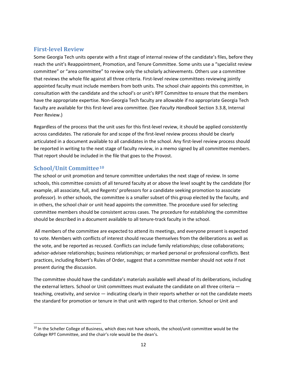# <span id="page-11-0"></span>**First-level Review**

Some Georgia Tech units operate with a first stage of internal review of the candidate's files, before they reach the unit's Reappointment, Promotion, and Tenure Committee. Some units use a "specialist review committee" or "area committee" to review only the scholarly achievements. Others use a committee that reviews the whole file against all three criteria. First-level review committees reviewing jointly appointed faculty must include members from both units. The school chair appoints this committee, in consultation with the candidate and the school's or unit's RPT Committee to ensure that the members have the appropriate expertise. Non-Georgia Tech faculty are allowable if no appropriate Georgia Tech faculty are available for this first-level area committee. (See *Faculty Handbook* Section 3.3.8, Internal Peer Review.)

Regardless of the process that the unit uses for this first-level review, it should be applied consistently across candidates. The rationale for and scope of the first-level review process should be clearly articulated in a document available to all candidates in the school. Any first-level review process should be reported in writing to the next stage of faculty review, in a memo signed by all committee members. That report should be included in the file that goes to the Provost.

#### <span id="page-11-1"></span>**School/Unit Committee[10](#page-11-2)**

The school or unit promotion and tenure committee undertakes the next stage of review. In some schools, this committee consists of all tenured faculty at or above the level sought by the candidate (for example, all associate, full, and Regents' professors for a candidate seeking promotion to associate professor). In other schools, the committee is a smaller subset of this group elected by the faculty, and in others, the school chair or unit head appoints the committee. The procedure used for selecting committee members should be consistent across cases. The procedure for establishing the committee should be described in a document available to all tenure-track faculty in the school.

All members of the committee are expected to attend its meetings, and everyone present is expected to vote. Members with conflicts of interest should recuse themselves from the deliberations as well as the vote, and be reported as recused. Conflicts can include family relationships; close collaborations; advisor-advisee relationships; business relationships; or marked personal or professional conflicts. Best practices, including Robert's Rules of Order, suggest that a committee member should not vote if not present during the discussion.

The committee should have the candidate's materials available well ahead of its deliberations, including the external letters. School or Unit committees must evaluate the candidate on all three criteria teaching, creativity, and service — indicating clearly in their reports whether or not the candidate meets the standard for promotion or tenure in that unit with regard to that criterion. School or Unit and

<span id="page-11-2"></span><sup>&</sup>lt;sup>10</sup> In the Scheller College of Business, which does not have schools, the school/unit committee would be the College RPT Committee, and the chair's role would be the dean's.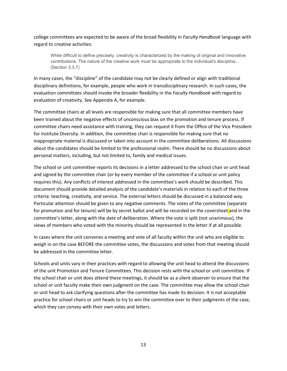college committees are expected to be aware of the broad flexibility in *Faculty Handbook* language with regard to creative activities:

While difficult to define precisely, creativity is characterized by the making of original and innovative contributions. The nature of the creative work must be appropriate to the individual's discipline... (Section 3.3.7)

In many cases, the "discipline" of the candidate may not be clearly defined or align with traditional disciplinary definitions, for example, people who work in transdisciplinary research. In such cases, the evaluation committees should invoke the broader flexibility in the *Faculty Handbook* with regard to evaluation of creativity. See Appendix A, for example.

The committee chairs at all levels are responsible for making sure that all committee members have been trained about the negative effects of unconscious bias on the promotion and tenure process. If committee chairs need assistance with training, they can request it from the Office of the Vice President for Institute Diversity. In addition, the committee chair is responsible for making sure that no inappropriate material is discussed or taken into account in the committee deliberations. All discussions about the candidates should be limited to the professional realm. There should be no discussions about personal matters, including, but not limited to, family and medical issues.

The school or unit committee reports its decisions in a letter addressed to the school chair or unit head and signed by the committee chair (or by every member of the committee if a school or unit policy requires this). Any conflicts of interest addressed in the committee's work should be described. This document should provide detailed analysis of the candidate's materials in relation to each of the three criteria: teaching, creativity, and service. The external letters should be discussed in a balanced way. Particular attention should be given to any negative comments. The votes of the committee (separate for promotion and for tenure) will be by secret ballot and will be recorded on the coversheet and in the committee's letter, along with the date of deliberation. Where the vote is split (not unanimous), the views of members who voted with the minority should be represented in the letter if at all possible.

In cases where the unit convenes a meeting and vote of all faculty within the unit who are eligible to weigh in on the case BEFORE the committee votes, the discussions and votes from that meeting should be addressed in the committee letter.

Schools and units vary in their practices with regard to allowing the unit head to attend the discussions of the unit Promotion and Tenure Committees. This decision rests with the school or unit committee. If the school chair or unit does attend these meetings, it should be as a silent observer to ensure that the school or unit faculty make their own judgment on the case. The committee may allow the school chair or unit head to ask clarifying questions after the committee has made its decision. It is not acceptable practice for school chairs or unit heads to try to win the committee over to their judgments of the case, which they can convey with their own votes and letters.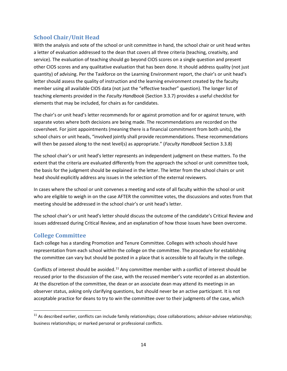# <span id="page-13-0"></span>**School Chair/Unit Head**

With the analysis and vote of the school or unit committee in hand, the school chair or unit head writes a letter of evaluation addressed to the dean that covers all three criteria (teaching, creativity, and service). The evaluation of teaching should go beyond CIOS scores on a single question and present other CIOS scores and any qualitative evaluation that has been done. It should address quality (not just quantity) of advising. Per the Taskforce on the Learning Environment report, the chair's or unit head's letter should assess the quality of instruction and the learning environment created by the faculty member using all available CIOS data (not just the "effective teacher" question). The longer list of teaching elements provided in the *Faculty Handbook* (Section 3.3.7) provides a useful checklist for elements that may be included, for chairs as for candidates.

The chair's or unit head's letter recommends for or against promotion and for or against tenure, with separate votes where both decisions are being made. The recommendations are recorded on the coversheet. For joint appointments (meaning there is a financial commitment from both units), the school chairs or unit heads, "involved jointly shall provide recommendations. These recommendations will then be passed along to the next level(s) as appropriate." (*Faculty Handbook* Section 3.3.8)

The school chair's or unit head's letter represents an independent judgment on these matters. To the extent that the criteria are evaluated differently from the approach the school or unit committee took, the basis for the judgment should be explained in the letter. The letter from the school chairs or unit head should explicitly address any issues in the selection of the external reviewers.

In cases where the school or unit convenes a meeting and vote of all faculty within the school or unit who are eligible to weigh in on the case AFTER the committee votes, the discussions and votes from that meeting should be addressed in the school chair's or unit head's letter.

The school chair's or unit head's letter should discuss the outcome of the candidate's Critical Review and issues addressed during Critical Review, and an explanation of how those issues have been overcome.

# <span id="page-13-1"></span>**College Committee**

Each college has a standing Promotion and Tenure Committee. Colleges with schools should have representation from each school within the college on the committee. The procedure for establishing the committee can vary but should be posted in a place that is accessible to all faculty in the college.

Conflicts of interest should be avoided.<sup>[11](#page-13-2)</sup> Any committee member with a conflict of interest should be recused prior to the discussion of the case, with the recused member's vote recorded as an abstention. At the discretion of the committee, the dean or an associate dean may attend its meetings in an observer status, asking only clarifying questions, but should never be an active participant. It is not acceptable practice for deans to try to win the committee over to their judgments of the case, which

<span id="page-13-2"></span> $11$  As described earlier, conflicts can include family relationships; close collaborations; advisor-advisee relationship; business relationships; or marked personal or professional conflicts.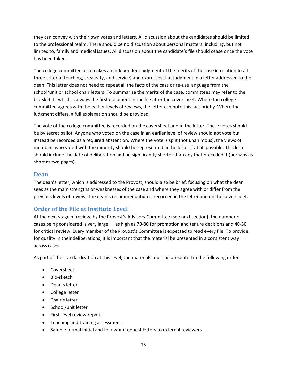they can convey with their own votes and letters. All discussion about the candidates should be limited to the professional realm. There should be no discussion about personal matters, including, but not limited to, family and medical issues. All discussion about the candidate's file should cease once the vote has been taken.

The college committee also makes an independent judgment of the merits of the case in relation to all three criteria (teaching, creativity, and service) and expresses that judgment in a letter addressed to the dean. This letter does not need to repeat all the facts of the case or re-use language from the school/unit or school chair letters. To summarize the merits of the case, committees may refer to the bio-sketch, which is always the first document in the file after the coversheet. Where the college committee agrees with the earlier levels of reviews, the letter can note this fact briefly. Where the judgment differs, a full explanation should be provided.

The vote of the college committee is recorded on the coversheet and in the letter. These votes should be by secret ballot. Anyone who voted on the case in an earlier level of review should not vote but instead be recorded as a required abstention. Where the vote is split (not unanimous), the views of members who voted with the minority should be represented in the letter if at all possible. This letter should include the date of deliberation and be significantly shorter than any that preceded it (perhaps as short as two pages).

#### <span id="page-14-0"></span>**Dean**

The dean's letter, which is addressed to the Provost, should also be brief, focusing on what the dean sees as the main strengths or weaknesses of the case and where they agree with or differ from the previous levels of review. The dean's recommendation is recorded in the letter and on the coversheet.

# <span id="page-14-1"></span>**Order of the File at Institute Level**

At the next stage of review, by the Provost's Advisory Committee (see next section), the number of cases being considered is very large — as high as 70-80 for promotion and tenure decisions and 40-50 for critical review. Every member of the Provost's Committee is expected to read every file. To provide for quality in their deliberations, it is important that the material be presented in a consistent way across cases.

As part of the standardization at this level, the materials must be presented in the following order:

- Coversheet
- Bio-sketch
- Dean's letter
- College letter
- Chair's letter
- School/unit letter
- First-level review report
- Teaching and training assessment
- Sample formal initial and follow-up request letters to external reviewers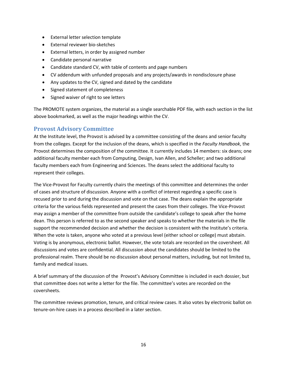- External letter selection template
- External reviewer bio-sketches
- External letters, in order by assigned number
- Candidate personal narrative
- Candidate standard CV, with table of contents and page numbers
- CV addendum with unfunded proposals and any projects/awards in nondisclosure phase
- Any updates to the CV, signed and dated by the candidate
- Signed statement of completeness
- Signed waiver of right to see letters

The PROMOTE system organizes, the material as a single searchable PDF file, with each section in the list above bookmarked, as well as the major headings within the CV.

#### <span id="page-15-0"></span>**Provost Advisory Committee**

At the Institute level, the Provost is advised by a committee consisting of the deans and senior faculty from the colleges. Except for the inclusion of the deans, which is specified in the *Faculty Handbook*, the Provost determines the composition of the committee. It currently includes 14 members: six deans; one additional faculty member each from Computing, Design, Ivan Allen, and Scheller; and two additional faculty members each from Engineering and Sciences. The deans select the additional faculty to represent their colleges.

The Vice-Provost for Faculty currently chairs the meetings of this committee and determines the order of cases and structure of discussion. Anyone with a conflict of interest regarding a specific case is recused prior to and during the discussion and vote on that case. The deans explain the appropriate criteria for the various fields represented and present the cases from their colleges. The Vice-Provost may assign a member of the committee from outside the candidate's college to speak after the home dean. This person is referred to as the second speaker and speaks to whether the materials in the file support the recommended decision and whether the decision is consistent with the Institute's criteria. When the vote is taken, anyone who voted at a previous level (either school or college) must abstain. Voting is by anonymous, electronic ballot. However, the vote totals are recorded on the coversheet. All discussions and votes are confidential. All discussion about the candidates should be limited to the professional realm. There should be no discussion about personal matters, including, but not limited to, family and medical issues.

A brief summary of the discussion of the Provost's Advisory Committee is included in each dossier, but that committee does not write a letter for the file. The committee's votes are recorded on the coversheets.

The committee reviews promotion, tenure, and critical review cases. It also votes by electronic ballot on tenure-on-hire cases in a process described in a later section.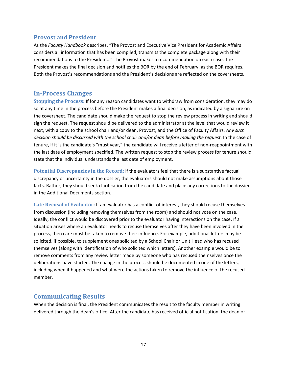#### <span id="page-16-0"></span>**Provost and President**

As the *Faculty Handbook* describes, "The Provost and Executive Vice President for Academic Affairs considers all information that has been compiled, transmits the complete package along with their recommendations to the President…" The Provost makes a recommendation on each case. The President makes the final decision and notifies the BOR by the end of February, as the BOR requires. Both the Provost's recommendations and the President's decisions are reflected on the coversheets.

#### <span id="page-16-1"></span>**In-Process Changes**

**Stopping the Process:** If for any reason candidates want to withdraw from consideration, they may do so at any time in the process before the President makes a final decision, as indicated by a signature on the coversheet. The candidate should make the request to stop the review process in writing and should sign the request. The request should be delivered to the administrator at the level that would review it next, with a copy to the school chair and/or dean, Provost, and the Office of Faculty Affairs. *Any such decision should be discussed with the school chair and/or dean before making the request.* In the case of tenure, if it is the candidate's "must year," the candidate will receive a letter of non-reappointment with the last date of employment specified. The written request to stop the review process for tenure should state that the individual understands the last date of employment.

**Potential Discrepancies in the Record:** If the evaluators feel that there is a substantive factual discrepancy or uncertainty in the dossier, the evaluators should not make assumptions about those facts. Rather, they should seek clarification from the candidate and place any corrections to the dossier in the Additional Documents section.

**Late Recusal of Evaluator:** If an evaluator has a conflict of interest, they should recuse themselves from discussion (including removing themselves from the room) and should not vote on the case. Ideally, the conflict would be discovered prior to the evaluator having interactions on the case. If a situation arises where an evaluator needs to recuse themselves after they have been involved in the process, then care must be taken to remove their influence. For example, additional letters may be solicited, if possible, to supplement ones solicited by a School Chair or Unit Head who has recused themselves (along with identification of who solicited which letters). Another example would be to remove comments from any review letter made by someone who has recused themselves once the deliberations have started. The change in the process should be documented in one of the letters, including when it happened and what were the actions taken to remove the influence of the recused member.

# <span id="page-16-2"></span>**Communicating Results**

When the decision is final, the President communicates the result to the faculty member in writing delivered through the dean's office. After the candidate has received official notification, the dean or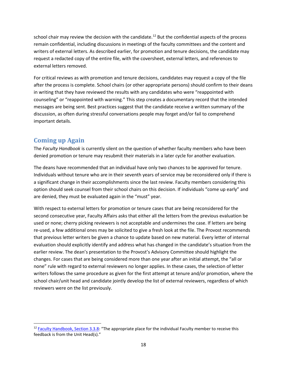school chair may review the decision with the candidate.<sup>[12](#page-17-1)</sup> But the confidential aspects of the process remain confidential, including discussions in meetings of the faculty committees and the content and writers of external letters. As described earlier, for promotion and tenure decisions, the candidate may request a redacted copy of the entire file, with the coversheet, external letters, and references to external letters removed.

For critical reviews as with promotion and tenure decisions, candidates may request a copy of the file after the process is complete. School chairs (or other appropriate persons) should confirm to their deans in writing that they have reviewed the results with any candidates who were "reappointed with counseling" or "reappointed with warning." This step creates a documentary record that the intended messages are being sent. Best practices suggest that the candidate receive a written summary of the discussion, as often during stressful conversations people may forget and/or fail to comprehend important details.

# <span id="page-17-0"></span>**Coming up Again**

The *Faculty Handbook* is currently silent on the question of whether faculty members who have been denied promotion or tenure may resubmit their materials in a later cycle for another evaluation.

The deans have recommended that an individual have only two chances to be approved for tenure. Individuals without tenure who are in their seventh years of service may be reconsidered only if there is a significant change in their accomplishments since the last review. Faculty members considering this option should seek counsel from their school chairs on this decision. If individuals "come up early" and are denied, they must be evaluated again in the "must" year.

With respect to external letters for promotion or tenure cases that are being reconsidered for the second consecutive year, Faculty Affairs asks that either all the letters from the previous evaluation be used or none; cherry picking reviewers is not acceptable and undermines the case. If letters are being re-used, a few additional ones may be solicited to give a fresh look at the file. The Provost recommends that previous letter writers be given a chance to update based on new material. Every letter of internal evaluation should explicitly identify and address what has changed in the candidate's situation from the earlier review. The dean's presentation to the Provost's Advisory Committee should highlight the changes. For cases that are being considered more than one year after an initial attempt, the "all or none" rule with regard to external reviewers no longer applies. In these cases, the selection of letter writers follows the same procedure as given for the first attempt at tenure and/or promotion, where the school chair/unit head and candidate jointly develop the list of external reviewers, regardless of which reviewers were on the list previously.

<span id="page-17-1"></span> <sup>12</sup> [Faculty Handbook, Section 3.3.8:](http://policylibrary.gatech.edu/faculty-handbook/3.3.8-promotion-and-tenure-procedures) "The appropriate place for the individual Faculty member to receive this feedback is from the Unit Head(s)."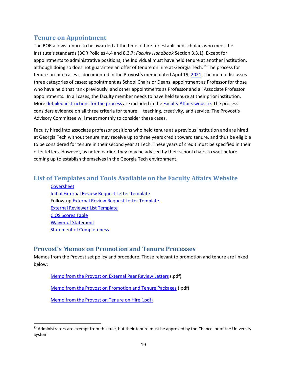# <span id="page-18-0"></span>**Tenure on Appointment**

The BOR allows tenure to be awarded at the time of hire for established scholars who meet the Institute's standards (BOR Policies 4.4 and 8.3.7; *Faculty Handbook* Section 3.3.1). Except for appointments to administrative positions, the individual must have held tenure at another institution, although doing so does not guarantee an offer of tenure on hire at Georgia Tech.<sup>[13](#page-18-3)</sup> The process for tenure-on-hire cases is documented in the [Provost's memo dated April 19, 2021.](https://faculty.gatech.edu/sites/default/files/images/swm_to_deanschairs_4.19.21.pdf) The memo discusses three categories of cases: appointment as School Chairs or Deans, appointment as Professor for those who have held that rank previously, and other appointments as Professor and all Associate Professor appointments. In all cases, the faculty member needs to have held tenure at their prior institution. More [detailed instructions for the process](https://faculty.gatech.edu/sites/default/files/images/guidance_on_the_tenure_on_appointment_process.pdf) are included in th[e Faculty Affairs website.](https://faculty.gatech.edu/sites/default/files/images/guidance_on_the_tenure_on_appointment_process.pdf) The process considers evidence on all three criteria for tenure —teaching, creativity, and service. The Provost's Advisory Committee will meet monthly to consider these cases.

Faculty hired into associate professor positions who held tenure at a previous institution and are hired at Georgia Tech without tenure may receive up to three years credit toward tenure, and thus be eligible to be considered for tenure in their second year at Tech. These years of credit must be specified in their offer letters. However, as noted earlier, they may be advised by their school chairs to wait before coming up to establish themselves in the Georgia Tech environment.

# <span id="page-18-1"></span>**List of Templates and Tools Available on the Faculty Affairs Website**

**[Coversheet](http://faculty.gatech.edu/sites/default/files/documents/promotiontenurecover_010215.pdf)** [Initial External Review Request Letter Template](http://www.faculty.gatech.edu/sites/default/files/images/template_initial_external_review_request_letter_5-17-2017.docx) Follow-up [External Review Request Letter Template](http://faculty.gatech.edu/sites/default/files/documents/template_external_review_request_letter_9-4-2015.docx) [External Reviewer](http://faculty.gatech.edu/sites/default/files/documents/external-reference-list_0.xlsx) List Template [CIOS Scores](http://faculty.gatech.edu/sites/default/files/documents/rpt_cios_template_cross-listed.xlsx) Table [Waiver of Statement](http://faculty.gatech.edu/sites/default/files/documents/waiver_of_right_of_access.pdf) [Statement of Completeness](http://faculty.gatech.edu/sites/default/files/documents/statement_of_completeness.docx)

# <span id="page-18-2"></span>**Provost's Memos on Promotion and Tenure Processes**

Memos from the Provost set policy and procedure. Those relevant to promotion and tenure are linked below:

[Memo from the Provost on External Peer Review Letters](https://faculty.gatech.edu/sites/default/files/documents/bras_memo_extprrevwlttrs_9-3-2015.pdf) (.pdf)

[Memo from the Provost on Promotion and Tenure Packages](https://faculty.gatech.edu/sites/default/files/documents/bras_memo_ptpackagerules_9-3-2015.pdf) (.pdf)

[Memo from the Provost on Tenure on Hire](https://faculty.gatech.edu/sites/default/files/images/swm_to_deanschairs_4.19.21.pdf) (.pdf)

<span id="page-18-3"></span> $13$  Administrators are exempt from this rule, but their tenure must be approved by the Chancellor of the University System.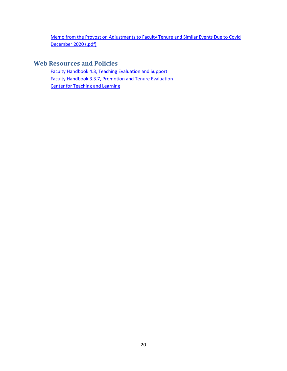[Memo from the Provost on Adjustments to Faculty Tenure and Similar Events Due to Covid](https://faculty.gatech.edu/sites/default/files/images/swm_to_faculty_12.07.20.pdf)  [December 2020 \(.pdf\)](https://faculty.gatech.edu/sites/default/files/images/swm_to_faculty_12.07.20.pdf)

# <span id="page-19-0"></span>**Web Resources and Policies**

[Faculty Handbook 4.3, Teaching Evaluation and Support](http://policylibrary.gatech.edu/faculty-handbook/3.3.7-promotion-and-tenure-evaluation) [Faculty Handbook 3.3.7, Promotion and Tenure Evaluation](http://policylibrary.gatech.edu/faculty-handbook/3.3.7-promotion-and-tenure-evaluation) [Center for Teaching and Learning](http://ctl.gatech.edu/)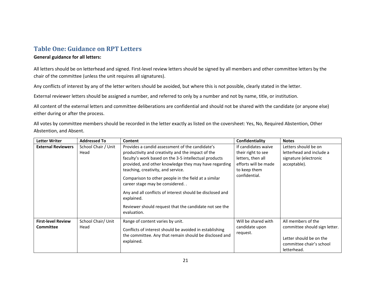# **Table One: Guidance on RPT Letters**

#### **General guidance for all letters:**

All letters should be on letterhead and signed. First-level review letters should be signed by all members and other committee letters by the chair of the committee (unless the unit requires all signatures).

Any conflicts of interest by any of the letter writers should be avoided, but where this is not possible, clearly stated in the letter.

External reviewer letters should be assigned a number, and referred to only by a number and not by name, title, or institution.

All content of the external letters and committee deliberations are confidential and should not be shared with the candidate (or anyone else) either during or after the process.

<span id="page-20-0"></span>All votes by committee members should be recorded in the letter exactly as listed on the coversheet: Yes, No, Required Abstention, Other Abstention, and Absent.

| <b>Letter Writer</b>                          | <b>Addressed To</b>         | Content                                                                                                                                                                                                                                                                                                                                                                                                                                                                                                    | Confidentiality                                                                                                         | <b>Notes</b>                                                                                                              |
|-----------------------------------------------|-----------------------------|------------------------------------------------------------------------------------------------------------------------------------------------------------------------------------------------------------------------------------------------------------------------------------------------------------------------------------------------------------------------------------------------------------------------------------------------------------------------------------------------------------|-------------------------------------------------------------------------------------------------------------------------|---------------------------------------------------------------------------------------------------------------------------|
| <b>External Reviewers</b>                     | School Chair / Unit<br>Head | Provides a candid assessment of the candidate's<br>productivity and creativity and the impact of the<br>faculty's work based on the 3-5 intellectual products<br>provided, and other knowledge they may have regarding<br>teaching, creativity, and service.<br>Comparison to other people in the field at a similar<br>career stage may be considered<br>Any and all conflicts of interest should be disclosed and<br>explained.<br>Reviewer should request that the candidate not see the<br>evaluation. | If candidates waive<br>their right to see<br>letters, then all<br>efforts will be made<br>to keep them<br>confidential. | Letters should be on<br>letterhead and include a<br>signature (electronic<br>acceptable).                                 |
| <b>First-level Review</b><br><b>Committee</b> | School Chair/ Unit<br>Head  | Range of content varies by unit.<br>Conflicts of interest should be avoided in establishing<br>the committee. Any that remain should be disclosed and<br>explained.                                                                                                                                                                                                                                                                                                                                        | Will be shared with<br>candidate upon<br>request.                                                                       | All members of the<br>committee should sign letter.<br>Letter should be on the<br>committee chair's school<br>letterhead. |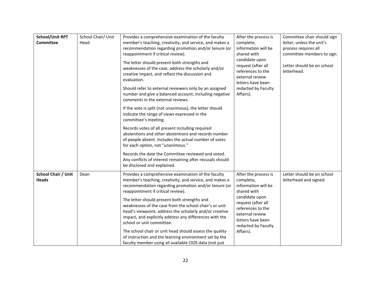| <b>School/Unit RPT</b><br><b>Committee</b> | School Chair/ Unit<br>Head | Provides a comprehensive examination of the faculty<br>member's teaching, creativity, and service, and makes a<br>recommendation regarding promotion and/or tenure (or<br>reappointment if critical review).<br>The letter should present both strengths and<br>weaknesses of the case, address the scholarly and/or<br>creative impact, and reflect the discussion and<br>evaluation. | After the process is<br>complete,<br>information will be<br>shared with<br>candidate upon<br>request (after all<br>references to the<br>external review<br>letters have been | Committee chair should sign<br>letter, unless the unit's<br>process requires all<br>committee members to sign.<br>Letter should be on school<br>letterhead. |
|--------------------------------------------|----------------------------|----------------------------------------------------------------------------------------------------------------------------------------------------------------------------------------------------------------------------------------------------------------------------------------------------------------------------------------------------------------------------------------|------------------------------------------------------------------------------------------------------------------------------------------------------------------------------|-------------------------------------------------------------------------------------------------------------------------------------------------------------|
|                                            |                            | Should refer to external reviewers only by an assigned<br>number and give a balanced account, including negative<br>comments in the external reviews.                                                                                                                                                                                                                                  | redacted by Faculty<br>Affairs).                                                                                                                                             |                                                                                                                                                             |
|                                            |                            | If the vote is split (not unanimous), the letter should<br>indicate the range of views expressed in the<br>committee's meeting.                                                                                                                                                                                                                                                        |                                                                                                                                                                              |                                                                                                                                                             |
|                                            |                            | Records votes of all present including required<br>abstentions and other abstentions and records number<br>of people absent. Includes the actual number of votes<br>for each option, not "unanimous."                                                                                                                                                                                  |                                                                                                                                                                              |                                                                                                                                                             |
|                                            |                            | Records the date the Committee reviewed and voted.<br>Any conflicts of interest remaining after recusals should<br>be disclosed and explained.                                                                                                                                                                                                                                         |                                                                                                                                                                              |                                                                                                                                                             |
| <b>School Chair / Unit</b><br><b>Heads</b> | Dean                       | Provides a comprehensive examination of the faculty<br>member's teaching, creativity, and service, and makes a<br>recommendation regarding promotion and/or tenure (or<br>reappointment if critical review).                                                                                                                                                                           | After the process is<br>complete,<br>information will be<br>shared with                                                                                                      | Letter should be on school<br>letterhead and signed.                                                                                                        |
|                                            |                            | The letter should present both strengths and<br>weaknesses of the case from the school chair's or unit<br>head's viewpoint, address the scholarly and/or creative<br>impact, and explicitly address any differences with the<br>school or unit committee.                                                                                                                              | candidate upon<br>request (after all<br>references to the<br>external review<br>letters have been<br>redacted by Faculty                                                     |                                                                                                                                                             |
|                                            |                            | The school chair or unit head should assess the quality<br>of instruction and the learning environment set by the<br>faculty member using all available CIOS data (not just                                                                                                                                                                                                            | Affairs).                                                                                                                                                                    |                                                                                                                                                             |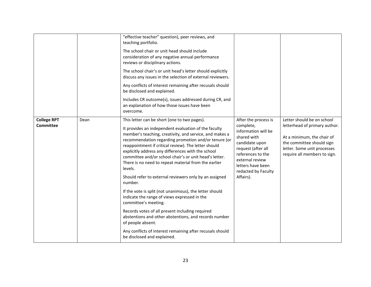|                                        |      | "effective teacher" question), peer reviews, and<br>teaching portfolio.<br>The school chair or unit head should include<br>consideration of any negative annual performance<br>reviews or disciplinary actions.<br>The school chair's or unit head's letter should explicitly<br>discuss any issues in the selection of external reviewers.<br>Any conflicts of interest remaining after recusals should<br>be disclosed and explained.<br>Includes CR outcome(s), issues addressed during CR, and<br>an explanation of how those issues have been<br>overcome.                                                                                                                                                                                                                                                                                                                                         |                                                                                                                                                                                                                  |                                                                                                                                                                                       |
|----------------------------------------|------|---------------------------------------------------------------------------------------------------------------------------------------------------------------------------------------------------------------------------------------------------------------------------------------------------------------------------------------------------------------------------------------------------------------------------------------------------------------------------------------------------------------------------------------------------------------------------------------------------------------------------------------------------------------------------------------------------------------------------------------------------------------------------------------------------------------------------------------------------------------------------------------------------------|------------------------------------------------------------------------------------------------------------------------------------------------------------------------------------------------------------------|---------------------------------------------------------------------------------------------------------------------------------------------------------------------------------------|
| <b>College RPT</b><br><b>Committee</b> | Dean | This letter can be short (one to two pages).<br>It provides an independent evaluation of the faculty<br>member's teaching, creativity, and service, and makes a<br>recommendation regarding promotion and/or tenure (or<br>reappointment if critical review). The letter should<br>explicitly address any differences with the school<br>committee and/or school chair's or unit head's letter.<br>There is no need to repeat material from the earlier<br>levels.<br>Should refer to external reviewers only by an assigned<br>number.<br>If the vote is split (not unanimous), the letter should<br>indicate the range of views expressed in the<br>committee's meeting.<br>Records votes of all present including required<br>abstentions and other abstentions, and records number<br>of people absent.<br>Any conflicts of interest remaining after recusals should<br>be disclosed and explained. | After the process is<br>complete,<br>information will be<br>shared with<br>candidate upon<br>request (after all<br>references to the<br>external review<br>letters have been<br>redacted by Faculty<br>Affairs). | Letter should be on school<br>letterhead of primary author.<br>At a minimum, the chair of<br>the committee should sign<br>letter. Some unit processes<br>require all members to sign. |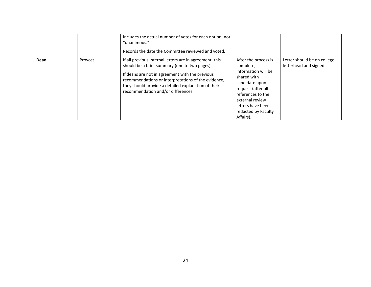|      |         | Includes the actual number of votes for each option, not<br>"unanimous."<br>Records the date the Committee reviewed and voted.                                                                                                                                                                                  |                                                                                                                                                                                                                  |                                                       |
|------|---------|-----------------------------------------------------------------------------------------------------------------------------------------------------------------------------------------------------------------------------------------------------------------------------------------------------------------|------------------------------------------------------------------------------------------------------------------------------------------------------------------------------------------------------------------|-------------------------------------------------------|
| Dean | Provost | If all previous internal letters are in agreement, this<br>should be a brief summary (one to two pages).<br>If deans are not in agreement with the previous<br>recommendations or interpretations of the evidence,<br>they should provide a detailed explanation of their<br>recommendation and/or differences. | After the process is<br>complete,<br>information will be<br>shared with<br>candidate upon<br>request (after all<br>references to the<br>external review<br>letters have been<br>redacted by Faculty<br>Affairs). | Letter should be on college<br>letterhead and signed. |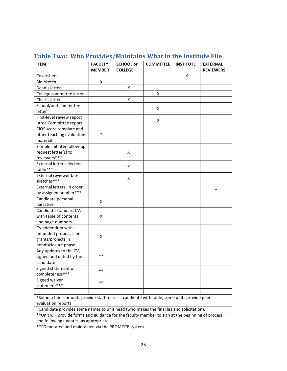| <b>ITEM</b>                                                                                        | <b>FACULTY</b><br><b>MEMBER</b> | <b>SCHOOL or</b><br><b>COLLEGE</b> | <b>COMMITTEE</b> | <b>INSTITUTE</b> | <b>EXTERNAL</b><br><b>REVIEWERS</b> |
|----------------------------------------------------------------------------------------------------|---------------------------------|------------------------------------|------------------|------------------|-------------------------------------|
| Coversheet                                                                                         |                                 |                                    |                  | x                |                                     |
| Bio-sketch                                                                                         | X                               |                                    |                  |                  |                                     |
| Dean's letter                                                                                      |                                 | X                                  |                  |                  |                                     |
| College committee letter                                                                           |                                 |                                    | Χ                |                  |                                     |
| Chair's letter                                                                                     |                                 | X                                  |                  |                  |                                     |
| School/unit committee                                                                              |                                 |                                    |                  |                  |                                     |
| letter                                                                                             |                                 |                                    | X                |                  |                                     |
| First-level review report                                                                          |                                 |                                    |                  |                  |                                     |
| (Area Committee report)                                                                            |                                 |                                    | X                |                  |                                     |
| CIOS score template and                                                                            |                                 |                                    |                  |                  |                                     |
| other teaching evaluation                                                                          | $\ast$                          |                                    |                  |                  |                                     |
| material                                                                                           |                                 |                                    |                  |                  |                                     |
| Sample initial & follow-up                                                                         |                                 |                                    |                  |                  |                                     |
| request letter(s) to                                                                               |                                 | X                                  |                  |                  |                                     |
| reviewers***                                                                                       |                                 |                                    |                  |                  |                                     |
| <b>External letter selection</b>                                                                   |                                 |                                    |                  |                  |                                     |
| table***                                                                                           |                                 | X                                  |                  |                  |                                     |
| External reviewer bio-                                                                             |                                 |                                    |                  |                  |                                     |
| sketches***                                                                                        |                                 | X                                  |                  |                  |                                     |
| External letters, in order                                                                         |                                 |                                    |                  |                  | Λ                                   |
| by assigned number***                                                                              |                                 |                                    |                  |                  |                                     |
| Candidate personal                                                                                 |                                 |                                    |                  |                  |                                     |
| narrative                                                                                          | X                               |                                    |                  |                  |                                     |
| Candidate standard CV,                                                                             |                                 |                                    |                  |                  |                                     |
| with table of contents                                                                             | X                               |                                    |                  |                  |                                     |
| and page numbers                                                                                   |                                 |                                    |                  |                  |                                     |
| CV addendum with                                                                                   |                                 |                                    |                  |                  |                                     |
| unfunded proposals or                                                                              | X                               |                                    |                  |                  |                                     |
| grants/projects in                                                                                 |                                 |                                    |                  |                  |                                     |
| nondisclosure phase                                                                                |                                 |                                    |                  |                  |                                     |
| Any updates to the CV,                                                                             |                                 |                                    |                  |                  |                                     |
| signed and dated by the                                                                            | $***$                           |                                    |                  |                  |                                     |
| candidate                                                                                          |                                 |                                    |                  |                  |                                     |
| Signed statement of                                                                                |                                 |                                    |                  |                  |                                     |
| completeness***                                                                                    |                                 |                                    |                  |                  |                                     |
| Signed waiver                                                                                      | $***$                           |                                    |                  |                  |                                     |
| statement***                                                                                       |                                 |                                    |                  |                  |                                     |
|                                                                                                    |                                 |                                    |                  |                  |                                     |
| *Some schools or units provide staff to assist candidate with table; some units provide peer       |                                 |                                    |                  |                  |                                     |
| evaluation reports.                                                                                |                                 |                                    |                  |                  |                                     |
| ^Candidate provides some names to unit head (who makes the final list and solicitation).           |                                 |                                    |                  |                  |                                     |
| ** Unit will provide forms and guidance for the faculty member to sign at the beginning of process |                                 |                                    |                  |                  |                                     |
| and following updates, as appropriate.                                                             |                                 |                                    |                  |                  |                                     |
| *** Generated and maintained via the PROMOTE system.                                               |                                 |                                    |                  |                  |                                     |

# <span id="page-24-0"></span>**Table Two: Who Provides/Maintains What in the Institute File**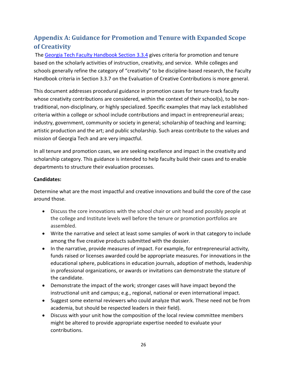# <span id="page-25-0"></span>**Appendix A: Guidance for Promotion and Tenure with Expanded Scope of Creativity**

The [Georgia Tech Faculty Handbook Section 3.3.4](https://policylibrary.gatech.edu/faculty-handbook/3.3.4-tenure-and-promotion-overview) gives criteria for promotion and tenure based on the scholarly activities of instruction, creativity, and service. While colleges and schools generally refine the category of "creativity" to be discipline-based research, the Faculty Handbook criteria in Section 3.3.7 on the Evaluation of Creative Contributions is more general.

This document addresses procedural guidance in promotion cases for tenure-track faculty whose creativity contributions are considered, within the context of their school(s), to be nontraditional, non-disciplinary, or highly specialized. Specific examples that may lack established criteria within a college or school include contributions and impact in entrepreneurial areas; industry, government, community or society in general; scholarship of teaching and learning; artistic production and the art; and public scholarship. Such areas contribute to the values and mission of Georgia Tech and are very impactful.

In all tenure and promotion cases, we are seeking excellence and impact in the creativity and scholarship category. This guidance is intended to help faculty build their cases and to enable departments to structure their evaluation processes.

#### **Candidates:**

Determine what are the most impactful and creative innovations and build the core of the case around those.

- Discuss the core innovations with the school chair or unit head and possibly people at the college and Institute levels well before the tenure or promotion portfolios are assembled.
- Write the narrative and select at least some samples of work in that category to include among the five creative products submitted with the dossier.
- In the narrative, provide measures of impact. For example, for entrepreneurial activity, funds raised or licenses awarded could be appropriate measures. For innovations in the educational sphere, publications in education journals, adoption of methods, leadership in professional organizations, or awards or invitations can demonstrate the stature of the candidate.
- Demonstrate the impact of the work; stronger cases will have impact beyond the instructional unit and campus; e.g., regional, national or even international impact.
- Suggest some external reviewers who could analyze that work. These need not be from academia, but should be respected leaders in their field).
- Discuss with your unit how the composition of the local review committee members might be altered to provide appropriate expertise needed to evaluate your contributions.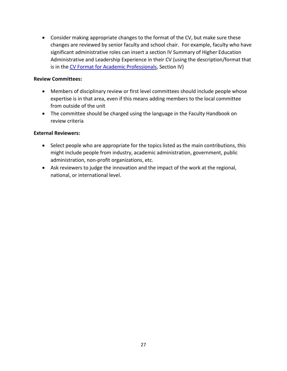• Consider making appropriate changes to the format of the CV, but make sure these changes are reviewed by senior faculty and school chair. For example, faculty who have significant administrative roles can insert a section IV Summary of Higher Education Administrative and Leadership Experience in their CV (using the description/format that is in the [CV Format for Academic Professionals,](https://faculty.gatech.edu/current-faculty/promotion-tenure) Section IV)

#### **Review Committees:**

- Members of disciplinary review or first level committees should include people whose expertise is in that area, even if this means adding members to the local committee from outside of the unit
- The committee should be charged using the language in the Faculty Handbook on review criteria

#### **External Reviewers:**

- Select people who are appropriate for the topics listed as the main contributions, this might include people from industry, academic administration, government, public administration, non-profit organizations, etc.
- Ask reviewers to judge the innovation and the impact of the work at the regional, national, or international level.